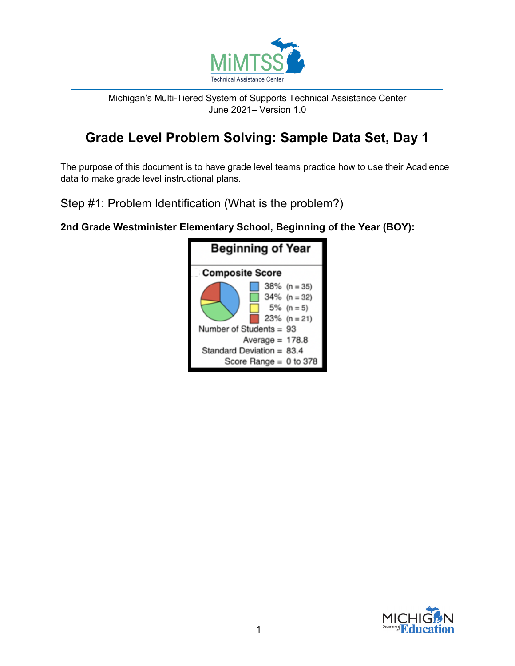

Michigan's Multi-Tiered System of Supports Technical Assistance Center June 2021– Version 1.0

# **Grade Level Problem Solving: Sample Data Set, Day 1**

The purpose of this document is to have grade level teams practice how to use their Acadience data to make grade level instructional plans.

Step #1: Problem Identification (What is the problem?)

**2nd Grade Westminister Elementary School, Beginning of the Year (BOY):**



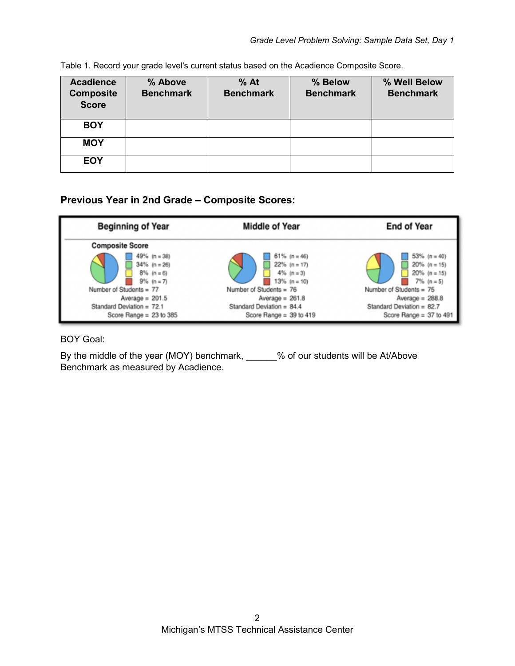| <b>Acadience</b><br><b>Composite</b><br><b>Score</b> | % Above<br><b>Benchmark</b> | $%$ At<br><b>Benchmark</b> | % Below<br><b>Benchmark</b> | % Well Below<br><b>Benchmark</b> |
|------------------------------------------------------|-----------------------------|----------------------------|-----------------------------|----------------------------------|
| <b>BOY</b>                                           |                             |                            |                             |                                  |
| <b>MOY</b>                                           |                             |                            |                             |                                  |
| <b>EOY</b>                                           |                             |                            |                             |                                  |

Table 1. Record your grade level's current status based on the Acadience Composite Score.

### **Previous Year in 2nd Grade – Composite Scores:**



### BOY Goal:

By the middle of the year (MOY) benchmark, \_\_\_\_\_\_% of our students will be At/Above Benchmark as measured by Acadience.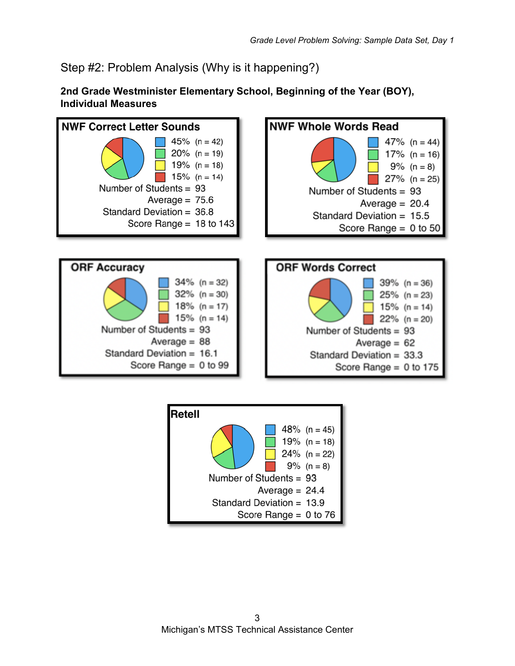Step #2: Problem Analysis (Why is it happening?)

**2nd Grade Westminister Elementary School, Beginning of the Year (BOY), Individual Measures**



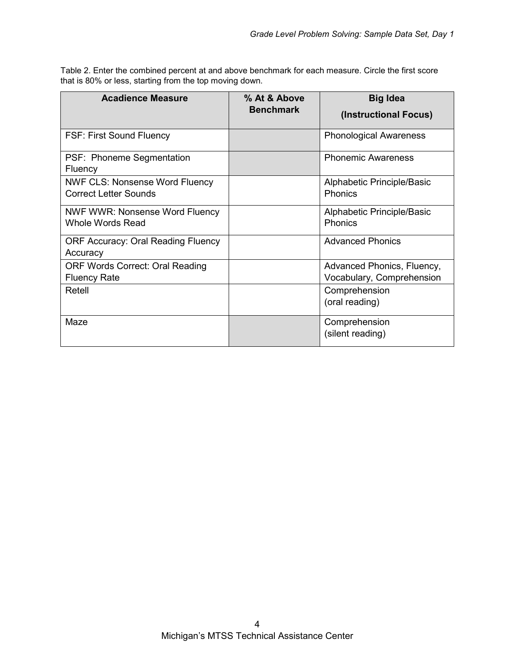Table 2. Enter the combined percent at and above benchmark for each measure. Circle the first score that is 80% or less, starting from the top moving down.

| <b>Acadience Measure</b>                                              | % At & Above<br><b>Benchmark</b> | <b>Big Idea</b><br>(Instructional Focus)                |  |
|-----------------------------------------------------------------------|----------------------------------|---------------------------------------------------------|--|
| <b>FSF: First Sound Fluency</b>                                       |                                  | <b>Phonological Awareness</b>                           |  |
| PSF: Phoneme Segmentation<br>Fluency                                  |                                  | <b>Phonemic Awareness</b>                               |  |
| <b>NWF CLS: Nonsense Word Fluency</b><br><b>Correct Letter Sounds</b> |                                  | Alphabetic Principle/Basic<br>Phonics                   |  |
| NWF WWR: Nonsense Word Fluency<br><b>Whole Words Read</b>             |                                  | Alphabetic Principle/Basic<br>Phonics                   |  |
| <b>ORF Accuracy: Oral Reading Fluency</b><br>Accuracy                 |                                  | <b>Advanced Phonics</b>                                 |  |
| <b>ORF Words Correct: Oral Reading</b><br><b>Fluency Rate</b>         |                                  | Advanced Phonics, Fluency,<br>Vocabulary, Comprehension |  |
| Retell                                                                |                                  | Comprehension<br>(oral reading)                         |  |
| Maze                                                                  |                                  | Comprehension<br>(silent reading)                       |  |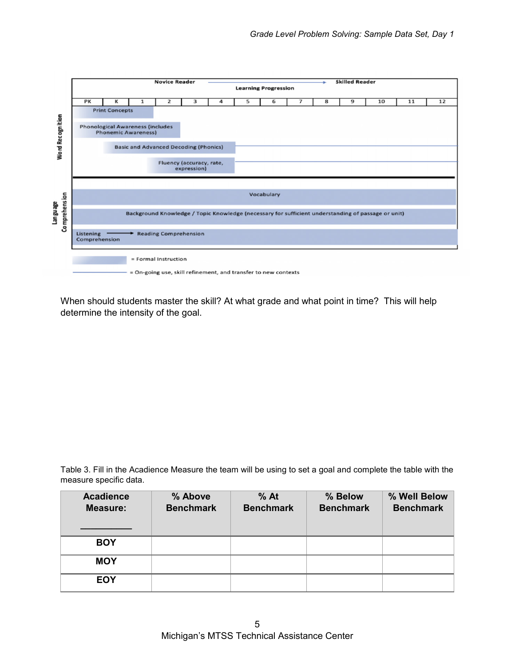

When should students master the skill? At what grade and what point in time? This will help determine the intensity of the goal.

Table 3. Fill in the Acadience Measure the team will be using to set a goal and complete the table with the measure specific data.

| <b>Acadience</b><br><b>Measure:</b> | % Above<br><b>Benchmark</b> | $%$ At<br><b>Benchmark</b> | % Below<br><b>Benchmark</b> | % Well Below<br><b>Benchmark</b> |
|-------------------------------------|-----------------------------|----------------------------|-----------------------------|----------------------------------|
| <b>BOY</b>                          |                             |                            |                             |                                  |
| <b>MOY</b>                          |                             |                            |                             |                                  |
| <b>EOY</b>                          |                             |                            |                             |                                  |